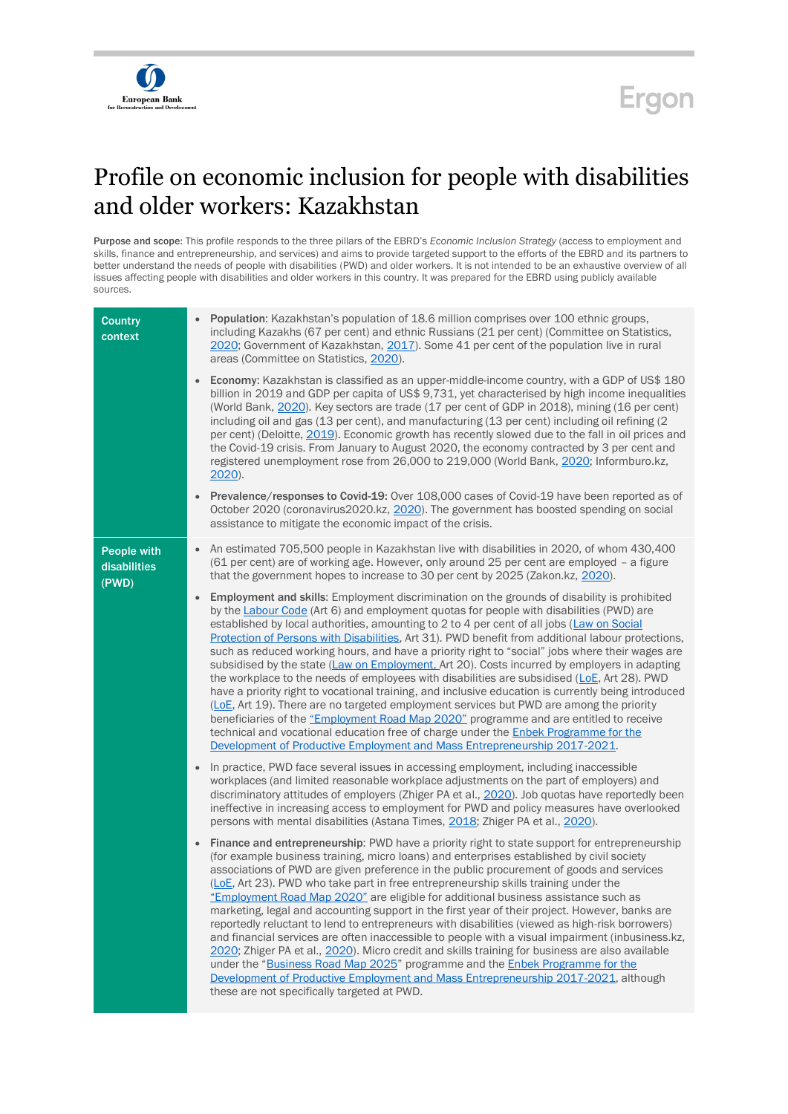

## **Ergon**

## Profile on economic inclusion for people with disabilities and older workers: Kazakhstan

Purpose and scope: This profile responds to the three pillars of the EBRD's *Economic Inclusion Strategy* (access to employment and skills, finance and entrepreneurship, and services) and aims to provide targeted support to the efforts of the EBRD and its partners to better understand the needs of people with disabilities (PWD) and older workers. It is not intended to be an exhaustive overview of all issues affecting people with disabilities and older workers in this country. It was prepared for the EBRD using publicly available sources.

| <b>Country</b><br>context                   | Population: Kazakhstan's population of 18.6 million comprises over 100 ethnic groups,<br>including Kazakhs (67 per cent) and ethnic Russians (21 per cent) (Committee on Statistics,<br>2020; Government of Kazakhstan, 2017). Some 41 per cent of the population live in rural<br>areas (Committee on Statistics, 2020).<br><b>Economy:</b> Kazakhstan is classified as an upper-middle-income country, with a GDP of US\$ 180<br>billion in 2019 and GDP per capita of US\$ 9,731, yet characterised by high income inequalities<br>(World Bank, 2020). Key sectors are trade (17 per cent of GDP in 2018), mining (16 per cent)<br>including oil and gas (13 per cent), and manufacturing (13 per cent) including oil refining (2<br>per cent) (Deloitte, 2019). Economic growth has recently slowed due to the fall in oil prices and                                                                                                                                                                                                                                                                                                                               |
|---------------------------------------------|-------------------------------------------------------------------------------------------------------------------------------------------------------------------------------------------------------------------------------------------------------------------------------------------------------------------------------------------------------------------------------------------------------------------------------------------------------------------------------------------------------------------------------------------------------------------------------------------------------------------------------------------------------------------------------------------------------------------------------------------------------------------------------------------------------------------------------------------------------------------------------------------------------------------------------------------------------------------------------------------------------------------------------------------------------------------------------------------------------------------------------------------------------------------------|
|                                             | the Covid-19 crisis. From January to August 2020, the economy contracted by 3 per cent and<br>registered unemployment rose from 26,000 to 219,000 (World Bank, 2020; Informburo.kz,<br>$2020$ ).                                                                                                                                                                                                                                                                                                                                                                                                                                                                                                                                                                                                                                                                                                                                                                                                                                                                                                                                                                        |
|                                             | Prevalence/responses to Covid-19: Over 108,000 cases of Covid-19 have been reported as of<br>$\bullet$<br>October 2020 (coronavirus 2020.kz, 2020). The government has boosted spending on social<br>assistance to mitigate the economic impact of the crisis.                                                                                                                                                                                                                                                                                                                                                                                                                                                                                                                                                                                                                                                                                                                                                                                                                                                                                                          |
| <b>People with</b><br>disabilities<br>(PWD) | An estimated 705,500 people in Kazakhstan live with disabilities in 2020, of whom 430,400<br>$\bullet$<br>(61 per cent) are of working age. However, only around 25 per cent are employed - a figure<br>that the government hopes to increase to 30 per cent by 2025 (Zakon.kz, 2020).                                                                                                                                                                                                                                                                                                                                                                                                                                                                                                                                                                                                                                                                                                                                                                                                                                                                                  |
|                                             | <b>Employment and skills:</b> Employment discrimination on the grounds of disability is prohibited<br>by the Labour Code (Art 6) and employment quotas for people with disabilities (PWD) are<br>established by local authorities, amounting to 2 to 4 per cent of all jobs (Law on Social<br>Protection of Persons with Disabilities, Art 31). PWD benefit from additional labour protections,<br>such as reduced working hours, and have a priority right to "social" jobs where their wages are<br>subsidised by the state (Law on Employment, Art 20). Costs incurred by employers in adapting<br>the workplace to the needs of employees with disabilities are subsidised (LoE, Art 28). PWD<br>have a priority right to vocational training, and inclusive education is currently being introduced<br>(LoE, Art 19). There are no targeted employment services but PWD are among the priority<br>beneficiaries of the "Employment Road Map 2020" programme and are entitled to receive<br>technical and vocational education free of charge under the <b>Enbek Programme for the</b><br>Development of Productive Employment and Mass Entrepreneurship 2017-2021. |
|                                             | In practice, PWD face several issues in accessing employment, including inaccessible<br>$\bullet$<br>workplaces (and limited reasonable workplace adjustments on the part of employers) and<br>discriminatory attitudes of employers (Zhiger PA et al., 2020). Job quotas have reportedly been<br>ineffective in increasing access to employment for PWD and policy measures have overlooked<br>persons with mental disabilities (Astana Times, 2018; Zhiger PA et al., 2020).                                                                                                                                                                                                                                                                                                                                                                                                                                                                                                                                                                                                                                                                                          |
|                                             | Finance and entrepreneurship: PWD have a priority right to state support for entrepreneurship<br>$\bullet$<br>(for example business training, micro loans) and enterprises established by civil society<br>associations of PWD are given preference in the public procurement of goods and services<br>(LoE, Art 23). PWD who take part in free entrepreneurship skills training under the<br>"Employment Road Map 2020" are eligible for additional business assistance such as<br>marketing, legal and accounting support in the first year of their project. However, banks are<br>reportedly reluctant to lend to entrepreneurs with disabilities (viewed as high-risk borrowers)<br>and financial services are often inaccessible to people with a visual impairment (inbusiness.kz,<br>2020; Zhiger PA et al., 2020). Micro credit and skills training for business are also available<br>under the "Business Road Map 2025" programme and the Enbek Programme for the<br>Development of Productive Employment and Mass Entrepreneurship 2017-2021, although<br>these are not specifically targeted at PWD.                                                       |